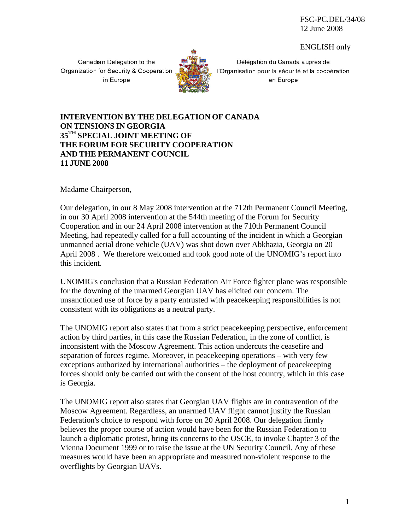FSC-PC.DEL/34/08 12 June 2008

ENGLISH only

Canadian Delegation to the Organization for Security & Cooperation in Europe



Délégation du Canada auprès de l'Organisation pour la sécurité et la coopération en Europe

## **INTERVENTION BY THE DELEGATION OF CANADA ON TENSIONS IN GEORGIA 35TH SPECIAL JOINT MEETING OF THE FORUM FOR SECURITY COOPERATION AND THE PERMANENT COUNCIL 11 JUNE 2008**

Madame Chairperson,

Our delegation, in our 8 May 2008 intervention at the 712th Permanent Council Meeting, in our 30 April 2008 intervention at the 544th meeting of the Forum for Security Cooperation and in our 24 April 2008 intervention at the 710th Permanent Council Meeting, had repeatedly called for a full accounting of the incident in which a Georgian unmanned aerial drone vehicle (UAV) was shot down over Abkhazia, Georgia on 20 April 2008 . We therefore welcomed and took good note of the UNOMIG's report into this incident.

UNOMIG's conclusion that a Russian Federation Air Force fighter plane was responsible for the downing of the unarmed Georgian UAV has elicited our concern. The unsanctioned use of force by a party entrusted with peacekeeping responsibilities is not consistent with its obligations as a neutral party.

The UNOMIG report also states that from a strict peacekeeping perspective, enforcement action by third parties, in this case the Russian Federation, in the zone of conflict, is inconsistent with the Moscow Agreement. This action undercuts the ceasefire and separation of forces regime. Moreover, in peacekeeping operations – with very few exceptions authorized by international authorities – the deployment of peacekeeping forces should only be carried out with the consent of the host country, which in this case is Georgia.

The UNOMIG report also states that Georgian UAV flights are in contravention of the Moscow Agreement. Regardless, an unarmed UAV flight cannot justify the Russian Federation's choice to respond with force on 20 April 2008. Our delegation firmly believes the proper course of action would have been for the Russian Federation to launch a diplomatic protest, bring its concerns to the OSCE, to invoke Chapter 3 of the Vienna Document 1999 or to raise the issue at the UN Security Council. Any of these measures would have been an appropriate and measured non-violent response to the overflights by Georgian UAVs.